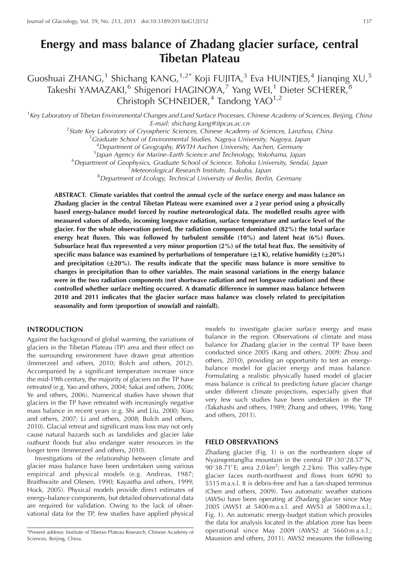# **Energy and mass balance of Zhadang glacier surface, central Tibetan Plateau**

Guoshuai ZHANG,<sup>1</sup> Shichang KANG,<sup>1,2\*</sup> Koji FUJITA,<sup>3</sup> Eva HUINTJES,<sup>4</sup> Jianqing XU,<sup>5</sup> Takeshi YAMAZAKI, $^6$  Shigenori HAGINOYA, $^7$  Yang WEI, $^1$  Dieter SCHERER, $^8$ Christoph SCHNEIDER,<sup>4</sup> Tandong YAO<sup>1,2</sup>

<sup>1</sup> Key Laboratory of Tibetan Environmental Changes and Land Surface Processes, Chinese Academy of Sciences, Beijing, China E-mail: shichang.kang@itpcas.ac.cn<br><sup>2</sup>State Key Laboratory of Cryosphoric Sciences, Chinese Academ

State Key Laboratory of Cryospheric Sciences, Chinese Academy of Sciences, Lanzhou, China <sup>3</sup>

Graduate School of Environmental Studies, Nagoya University, Nagoya, Japan

4 Department of Geography, RWTH Aachen University, Aachen, Germany <sup>5</sup>

<sup>5</sup>Japan Agency for Marine–Earth Science and Technology, Yokohama, Japan

<sup>6</sup>Department of Geophysics, Graduate School of Science, Tohoku University, Sendai, Japan <sup>7</sup>Meteorological Research Institute, Tsukuba, Japan

<sup>8</sup>Department of Ecological Research Institute, Tsukuba, Japan<br><sup>8</sup>Department of Ecology, Technical University of Berlin, Berlin, Germany

**ABSTRACT. Climate variables that control the annual cycle of the surface energy and mass balance on Zhadang glacier in the central Tibetan Plateau were examined over a 2 year period using a physically based energy-balance model forced by routine meteorological data. The modelled results agree with measured values of albedo, incoming longwave radiation, surface temperature and surface level of the glacier. For the whole observation period, the radiation component dominated (82%) the total surface energy heat fluxes. This was followed by turbulent sensible (10%) and latent heat (6%) fluxes. Subsurface heat flux represented a very minor proportion (2%) of the total heat flux. The sensitivity of**  $\epsilon$  specific mass balance was examined by perturbations of temperature ( $\pm$ 1 K), relative humidity ( $\pm$ 20%) and precipitation ( $\pm 20\%$ ). The results indicate that the specific mass balance is more sensitive to **changes in precipitation than to other variables. The main seasonal variations in the energy balance were in the two radiation components (net shortwave radiation and net longwave radiation) and these controlled whether surface melting occurred. A dramatic difference in summer mass balance between 2010 and 2011 indicates that the glacier surface mass balance was closely related to precipitation seasonality and form (proportion of snowfall and rainfall).**

# **INTRODUCTION**

Against the background of global warming, the variations of glaciers in the Tibetan Plateau (TP) area and their effect on the surrounding environment have drawn great attention (Immerzeel and others, 2010; Bolch and others, 2012). Accompanied by a significant temperature increase since the mid-19th century, the majority of glaciers on the TP have retreated (e.g. Yao and others, 2004; Sakai and others, 2006; Ye and others, 2006). Numerical studies have shown that glaciers in the TP have retreated with increasingly negative mass balance in recent years (e.g. Shi and Liu, 2000; Xiao and others, 2007; Li and others, 2008; Bolch and others, 2010). Glacial retreat and significant mass loss may not only cause natural hazards such as landslides and glacier lake outburst floods but also endanger water resources in the longer term (Immerzeel and others, 2010).

Investigations of the relationship between climate and glacier mass balance have been undertaken using various empirical and physical models (e.g. Andreas, 1987; Braithwaite and Olesen, 1990; Kayastha and others, 1999; Hock, 2005). Physical models provide direct estimates of energy-balance components, but detailed observational data are required for validation. Owing to the lack of observational data for the TP, few studies have applied physical

models to investigate glacier surface energy and mass balance in the region. Observations of climate and mass balance for Zhadang glacier in the central TP have been conducted since 2005 (Kang and others, 2009; Zhou and others, 2010), providing an opportunity to test an energybalance model for glacier energy and mass balance. Formulating a realistic physically based model of glacier mass balance is critical to predicting future glacier change under different climate projections, especially given that very few such studies have been undertaken in the TP (Takahashi and others, 1989; Zhang and others, 1996; Yang and others, 2011).

#### **FIELD OBSERVATIONS**

Zhadang glacier (Fig. 1) is on the northeastern slope of Nyainqentanglha mountain in the central TP  $(30^{\circ}28.57^{\prime}N,$  $90^{\circ}38.71'$  E; area 2.0 km<sup>2</sup>; length 2.2 km). This valley-type glacier faces north-northwest and flows from 6090 to 5515 m a.s.l. It is debris-free and has a fan-shaped terminus (Chen and others, 2009). Two automatic weather stations (AWSs) have been operating at Zhadang glacier since May 2005 (AWS1 at 5400 m a.s.l. and AWS3 at 5800 m a.s.l.; Fig. 1). An automatic energy-budget station which provides the data for analysis located in the ablation zone has been operational since May 2009 (AWS2 at 5660 m a.s.l.; Maussion and others, 2011). AWS2 measures the following

<sup>\*</sup>Present address: Institute of Tibetan Plateau Research, Chinese Academy of Sciences, Beijing, China.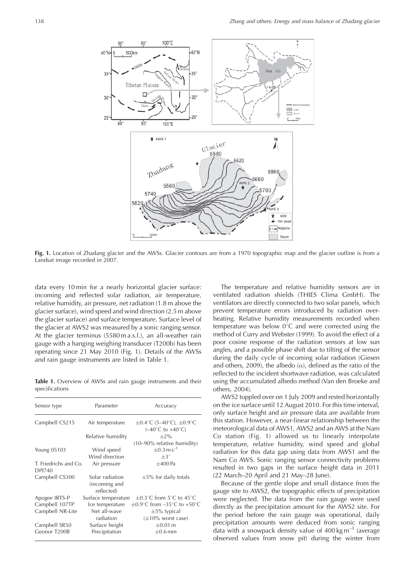

**Fig. 1.** Location of Zhadang glacier and the AWSs. Glacier contours are from a 1970 topographic map and the glacier outline is from a Landsat image recorded in 2007.

data every 10 min for a nearly horizontal glacier surface: incoming and reflected solar radiation, air temperature, relative humidity, air pressure, net radiation (1.8 m above the glacier surface), wind speed and wind direction (2.5 m above the glacier surface) and surface temperature. Surface level of the glacier at AWS2 was measured by a sonic ranging sensor. At the glacier terminus (5580 m a.s.l.), an all-weather rain gauge with a hanging weighing transducer (T200b) has been operating since 21 May 2010 (Fig. 1). Details of the AWSs and rain gauge instruments are listed in Table 1.

**Table 1.** Overview of AWSs and rain gauge instruments and their specifications

| Sensor type                            | Parameter                                      | Accuracy                                                                                             |
|----------------------------------------|------------------------------------------------|------------------------------------------------------------------------------------------------------|
| Campbell CS215                         | Air temperature                                | $\pm 0.4^{\circ}$ C (5–40 $^{\circ}$ C), $\pm 0.9^{\circ}$ C<br>$(-40^{\circ}$ C to $+40^{\circ}$ C) |
|                                        | Relative humidity                              | $+2\%$                                                                                               |
|                                        |                                                | $(10-90\%$ relative humidity)                                                                        |
| Young 05103                            | Wind speed                                     | $+0.3 \text{ m s}^{-1}$                                                                              |
|                                        | Wind direction                                 | $+3^\circ$                                                                                           |
| T. Friedrichs and Co.<br><b>DPI740</b> | Air pressure                                   | $\pm 400$ Pa                                                                                         |
| Campbell CS300                         | Solar radiation<br>(incoming and<br>reflected) | $\pm$ 5% for daily totals                                                                            |
| Apogee IRTS-P                          | Surface temperature                            | $\pm 0.3^{\circ}$ C from 5°C to 45°C                                                                 |
| Campbell 107TP                         | Ice temperature                                | $\pm 0.9^{\circ}$ C from $-35^{\circ}$ C to $+50^{\circ}$ C                                          |
| Campbell NR-Lite                       | Net all-wave                                   | $\pm$ 5% typical                                                                                     |
|                                        | radiation                                      | $(\pm 10\%$ worst case)                                                                              |
| Campbell SR50                          | Surface height                                 | $\pm 0.01$ m                                                                                         |
| Geonor T200B                           | Precipitation                                  | $\pm 0.6$ mm                                                                                         |

The temperature and relative humidity sensors are in ventilated radiation shields (THIES Clima GmbH). The ventilators are directly connected to two solar panels, which prevent temperature errors introduced by radiation overheating. Relative humidity measurements recorded when temperature was below  $0^{\circ}$ C and were corrected using the method of Curry and Webster (1999). To avoid the effect of a poor cosine response of the radiation sensors at low sun angles, and a possible phase shift due to tilting of the sensor during the daily cycle of incoming solar radiation (Giesen and others, 2009), the albedo  $(\alpha)$ , defined as the ratio of the reflected to the incident shortwave radiation, was calculated using the accumulated albedo method (Van den Broeke and others, 2004).

AWS2 toppled over on 1 July 2009 and rested horizontally on the ice surface until 12 August 2010. For this time interval, only surface height and air pressure data are available from this station. However, a near-linear relationship between the meteorological data of AWS1, AWS2 and an AWS at the Nam Co station (Fig. 1) allowed us to linearly interpolate temperature, relative humidity, wind speed and global radiation for this data gap using data from AWS1 and the Nam Co AWS. Sonic ranging sensor connectivity problems resulted in two gaps in the surface height data in 2011 (22 March–20 April and 21 May–28 June).

Because of the gentle slope and small distance from the gauge site to AWS2, the topographic effects of precipitation were neglected. The data from the rain gauge were used directly as the precipitation amount for the AWS2 site. For the period before the rain gauge was operational, daily precipitation amounts were deduced from sonic ranging data with a snowpack density value of  $400 \text{ kg m}^{-3}$  (average observed values from snow pit) during the winter from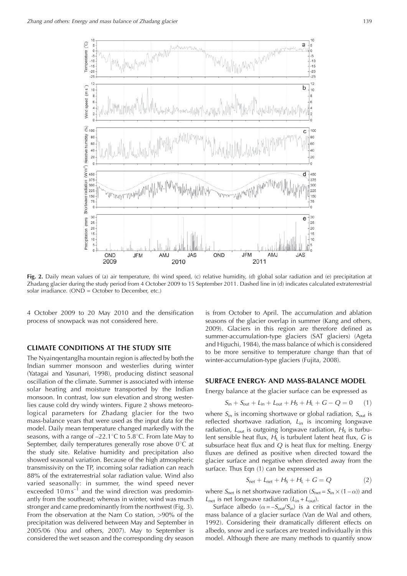

**Fig. 2.** Daily mean values of (a) air temperature, (b) wind speed, (c) relative humidity, (d) global solar radiation and (e) precipitation at Zhadang glacier during the study period from 4 October 2009 to 15 September 2011. Dashed line in (d) indicates calculated extraterrestrial solar irradiance. (OND = October to December, etc.)

4 October 2009 to 20 May 2010 and the densification process of snowpack was not considered here.

# **CLIMATE CONDITIONS AT THE STUDY SITE**

The Nyainqentanglha mountain region is affected by both the Indian summer monsoon and westerlies during winter (Yatagai and Yasunari, 1998), producing distinct seasonal oscillation of the climate. Summer is associated with intense solar heating and moisture transported by the Indian monsoon. In contrast, low sun elevation and strong westerlies cause cold dry windy winters. Figure 2 shows meteorological parameters for Zhadang glacier for the two mass-balance years that were used as the input data for the model. Daily mean temperature changed markedly with the seasons, with a range of  $-22.1^{\circ}C$  to 5.8°C. From late May to September, daily temperatures generally rose above  $0^{\circ}$ C at the study site. Relative humidity and precipitation also showed seasonal variation. Because of the high atmospheric transmissivity on the TP, incoming solar radiation can reach 88% of the extraterrestrial solar radiation value. Wind also varied seasonally: in summer, the wind speed never exceeded 10 m s<sup>-1</sup> and the wind direction was predominantly from the southeast; whereas in winter, wind was much stronger and came predominantly from the northwest (Fig. 3). From the observation at the Nam Co station, >90% of the precipitation was delivered between May and September in 2005/06 (You and others, 2007). May to September is considered the wet season and the corresponding dry season

is from October to April. The accumulation and ablation seasons of the glacier overlap in summer (Kang and others, 2009). Glaciers in this region are therefore defined as summer-accumulation-type glaciers (SAT glaciers) (Ageta and Higuchi, 1984), the mass balance of which is considered to be more sensitive to temperature change than that of winter-accumulation-type glaciers (Fujita, 2008).

#### **SURFACE ENERGY- AND MASS-BALANCE MODEL**

Energy balance at the glacier surface can be expressed as

$$
S_{\rm in} + S_{\rm out} + L_{\rm in} + L_{\rm out} + H_{\rm S} + H_{\rm L} + G - Q = 0 \tag{1}
$$

where  $S_{\text{in}}$  is incoming shortwave or global radiation,  $S_{\text{out}}$  is reflected shortwave radiation,  $L_{\text{in}}$  is incoming longwave radiation,  $L_{\text{out}}$  is outgoing longwave radiation,  $H_S$  is turbulent sensible heat flux,  $H_L$  is turbulent latent heat flux, G is subsurface heat flux and Q is heat flux for melting. Energy fluxes are defined as positive when directed toward the glacier surface and negative when directed away from the surface. Thus Eqn (1) can be expressed as

$$
S_{\text{net}} + L_{\text{net}} + H_{\text{S}} + H_{\text{L}} + G = Q \tag{2}
$$

where  $S_{\text{net}}$  is net shortwave radiation ( $S_{\text{net}} = S_{\text{in}} \times (1 - \alpha)$ ) and  $L_{\text{net}}$  is net longwave radiation  $(L_{\text{in}} + L_{\text{out}})$ .

Surface albedo ( $\alpha = -S_{\text{out}}/S_{\text{in}}$ ) is a critical factor in the mass balance of a glacier surface (Van de Wal and others, 1992). Considering their dramatically different effects on albedo, snow and ice surfaces are treated individually in this model. Although there are many methods to quantify snow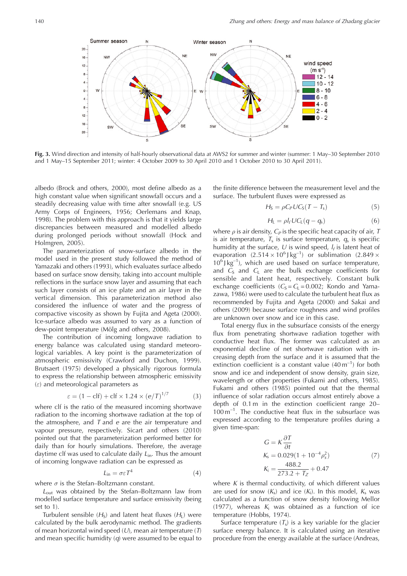

**Fig. 3.** Wind direction and intensity of half-hourly observational data at AWS2 for summer and winter (summer: 1 May–30 September 2010 and 1 May–15 September 2011; winter: 4 October 2009 to 30 April 2010 and 1 October 2010 to 30 April 2011).

albedo (Brock and others, 2000), most define albedo as a high constant value when significant snowfall occurs and a steadily decreasing value with time after snowfall (e.g. US Army Corps of Engineers, 1956; Oerlemans and Knap, 1998). The problem with this approach is that it yields large discrepancies between measured and modelled albedo during prolonged periods without snowfall (Hock and Holmgren, 2005).

The parameterization of snow-surface albedo in the model used in the present study followed the method of Yamazaki and others (1993), which evaluates surface albedo based on surface snow density, taking into account multiple reflections in the surface snow layer and assuming that each such layer consists of an ice plate and an air layer in the vertical dimension. This parameterization method also considered the influence of water and the progress of compactive viscosity as shown by Fujita and Ageta (2000). Ice-surface albedo was assumed to vary as a function of dew-point temperature (Mölg and others, 2008).

The contribution of incoming longwave radiation to energy balance was calculated using standard meteorological variables. A key point is the parameterization of atmospheric emissivity (Crawford and Duchon, 1999). Brutsaert (1975) developed a physically rigorous formula to express the relationship between atmospheric emissivity  $(\varepsilon)$  and meteorological parameters as

$$
\varepsilon = (1 - \text{clf}) + \text{clf} \times 1.24 \times (e/T)^{1/7} \tag{3}
$$

where clf is the ratio of the measured incoming shortwave radiation to the incoming shortwave radiation at the top of the atmosphere, and  $T$  and  $e$  are the air temperature and vapour pressure, respectively. Sicart and others (2010) pointed out that the parameterization performed better for daily than for hourly simulations. Therefore, the average daytime clf was used to calculate daily  $L_{in}$ . Thus the amount of incoming longwave radiation can be expressed as

$$
L_{\rm in} = \sigma \varepsilon T^4 \tag{4}
$$

where  $\sigma$  is the Stefan–Boltzmann constant.

 $L_{\text{out}}$  was obtained by the Stefan–Boltzmann law from modelled surface temperature and surface emissivity (being set to 1).

Turbulent sensible  $(H_S)$  and latent heat fluxes  $(H_1)$  were calculated by the bulk aerodynamic method. The gradients of mean horizontal wind speed  $(U)$ , mean air temperature  $(T)$ and mean specific humidity  $(q)$  were assumed to be equal to the finite difference between the measurement level and the surface. The turbulent fluxes were expressed as

$$
H_{\rm S} = \rho C_P U C_{\rm S} (T - T_{\rm s}) \tag{5}
$$

$$
H_{L} = \rho I_{f} U C_{L} (q - q_{s}) \tag{6}
$$

where  $\rho$  is air density,  $C_P$  is the specific heat capacity of air, T is air temperature,  $T_s$  is surface temperature,  $q_s$  is specific humidity at the surface, U is wind speed,  $I_f$  is latent heat of evaporation  $(2.514 \times 10^6) \text{ kg}^{-1}$  or sublimation  $(2.849 \times$  $10^6$  J kg<sup>-1</sup>), which are used based on surface temperature, and  $C_S$  and  $C_L$  are the bulk exchange coefficients for sensible and latent heat, respectively. Constant bulk exchange coefficients ( $C_S = C_L = 0.002$ ; Kondo and Yamazawa, 1986) were used to calculate the turbulent heat flux as recommended by Fujita and Ageta (2000) and Sakai and others (2009) because surface roughness and wind profiles are unknown over snow and ice in this case.

Total energy flux in the subsurface consists of the energy flux from penetrating shortwave radiation together with conductive heat flux. The former was calculated as an exponential decline of net shortwave radiation with increasing depth from the surface and it is assumed that the extinction coefficient is a constant value  $(40 \text{ m}^{-1})$  for both snow and ice and independent of snow density, grain size, wavelength or other properties (Fukami and others, 1985). Fukami and others (1985) pointed out that the thermal influence of solar radiation occurs almost entirely above a depth of 0.1 m in the extinction coefficient range 20–  $100 \text{ m}^{-1}$ . The conductive heat flux in the subsurface was expressed according to the temperature profiles during a given time-span:

$$
G = K \frac{\partial T}{\partial t}
$$
  
\n
$$
K_{\rm s} = 0.029(1 + 10^{-4} \rho_{\rm s}^2)
$$
  
\n
$$
K_{\rm i} = \frac{488.2}{273.2 + T_{Z}} + 0.47
$$
\n(7)

where  $K$  is thermal conductivity, of which different values are used for snow  $(K_s)$  and ice  $(K_i)$ . In this model,  $K_s$  was calculated as a function of snow density following Mellor (1977), whereas  $K_i$  was obtained as a function of ice temperature (Hobbs, 1974).

Surface temperature  $(T_s)$  is a key variable for the glacier surface energy balance. It is calculated using an iterative procedure from the energy available at the surface (Andreas,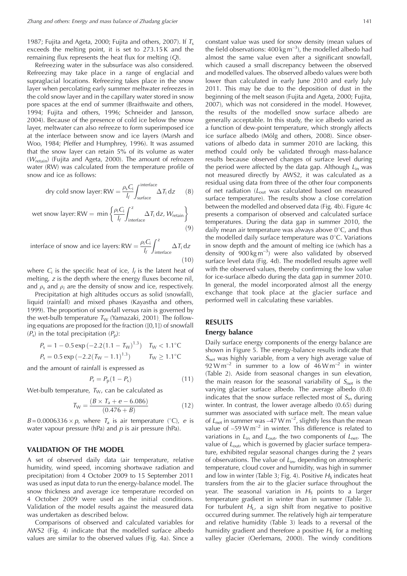1987; Fujita and Ageta, 2000; Fujita and others, 2007). If  $T_s$ exceeds the melting point, it is set to 273.15 K and the remaining flux represents the heat flux for melting  $(O)$ .

Refreezing water in the subsurface was also considered. Refreezing may take place in a range of englacial and supraglacial locations. Refreezing takes place in the snow layer when percolating early summer meltwater refreezes in the cold snow layer and in the capillary water stored in snow pore spaces at the end of summer (Braithwaite and others, 1994; Fujita and others, 1996; Schneider and Jansson, 2004). Because of the presence of cold ice below the snow layer, meltwater can also refreeze to form superimposed ice at the interface between snow and ice layers (Marsh and Woo, 1984; Pfeffer and Humphrey, 1996). It was assumed that the snow layer can retain 5% of its volume as water  $(W_{\text{retain}})$  (Fujita and Ageta, 2000). The amount of refrozen water (RW) was calculated from the temperature profile of snow and ice as follows:

dry cold snow layer: RW = 
$$
\frac{\rho_s C_i}{I_f} \int_{surface}^{interface} \Delta T_i dz
$$
 (8)

\n wet snow layer: RW = \n 
$$
\min \left\{ \frac{\rho_i C_i}{I_f} \int_{\text{interface}}^{z} \Delta T_i \, dz, \, W_{\text{retain}} \right\}
$$
\n

\n\n (9)\n

interface of snow and ice layers: RW =  $\frac{\rho_i C_i}{l_f}$  $\int^z$  $\Delta T_i$  dz<br>interface  $(10)$ 

where  $C_i$  is the specific heat of ice,  $l_f$  is the latent heat of melting, z is the depth where the energy fluxes become nil, and  $\rho_s$  and  $\rho_i$  are the density of snow and ice, respectively.

Precipitation at high altitudes occurs as solid (snowfall), liquid (rainfall) and mixed phases (Kayastha and others, 1999). The proportion of snowfall versus rain is governed by the wet-bulb temperature  $T_W$  (Yamazaki, 2001). The following equations are proposed for the fraction ([0,1]) of snowfall  $(P<sub>s</sub>)$  in the total precipitation  $(P<sub>p</sub>)$ :

$$
P_s = 1 - 0.5 \exp(-2.2(1.1 - T_W)^{1.3}) \quad T_W < 1.1^{\circ}\text{C}
$$
\n
$$
P_s = 0.5 \exp(-2.2(T_W - 1.1)^{1.3}) \quad T_W \ge 1.1^{\circ}\text{C}
$$

and the amount of rainfall is expressed as

$$
P_{\rm r} = P_{\rm p}(1 - P_{\rm s})\tag{11}
$$

Wet-bulb temperature,  $T_W$ , can be calculated as

$$
T_{\rm W} = \frac{(B \times T_{\rm a} + e - 6.086)}{(0.476 + B)}
$$
(12)

 $B = 0.0006336 \times p$ , where  $T_a$  is air temperature (°C), e is water vapour pressure (hPa) and  $p$  is air pressure (hPa).

#### **VALIDATION OF THE MODEL**

A set of observed daily data (air temperature, relative humidity, wind speed, incoming shortwave radiation and precipitation) from 4 October 2009 to 15 September 2011 was used as input data to run the energy-balance model. The snow thickness and average ice temperature recorded on 4 October 2009 were used as the initial conditions. Validation of the model results against the measured data was undertaken as described below.

Comparisons of observed and calculated variables for AWS2 (Fig. 4) indicate that the modelled surface albedo values are similar to the observed values (Fig. 4a). Since a

constant value was used for snow density (mean values of the field observations:  $400 \text{ kg m}^{-3}$ ), the modelled albedo had almost the same value even after a significant snowfall, which caused a small discrepancy between the observed and modelled values. The observed albedo values were both lower than calculated in early June 2010 and early July 2011. This may be due to the deposition of dust in the beginning of the melt season (Fujita and Ageta, 2000; Fujita, 2007), which was not considered in the model. However, the results of the modelled snow surface albedo are generally acceptable. In this study, the ice albedo varied as a function of dew-point temperature, which strongly affects ice surface albedo (Mölg and others, 2008). Since observations of albedo data in summer 2010 are lacking, this method could only be validated through mass-balance results because observed changes of surface level during the period were affected by the data gap. Although  $L_{in}$  was not measured directly by AWS2, it was calculated as a residual using data from three of the other four components of net radiation ( $L_{\text{out}}$  was calculated based on measured surface temperature). The results show a close correlation between the modelled and observed data (Fig. 4b). Figure 4c presents a comparison of observed and calculated surface temperatures. During the data gap in summer 2010, the daily mean air temperature was always above  $0^{\circ}$ C, and thus the modelled daily surface temperature was  $0^{\circ}$ C. Variations in snow depth and the amount of melting ice (which has a density of  $900 \text{ kg m}^{-3}$ ) were also validated by observed surface level data (Fig. 4d). The modelled results agree well with the observed values, thereby confirming the low value for ice-surface albedo during the data gap in summer 2010. In general, the model incorporated almost all the energy exchange that took place at the glacier surface and performed well in calculating these variables.

## **RESULTS**

# **Energy balance**

Daily surface energy components of the energy balance are shown in Figure 5. The energy-balance results indicate that  $S<sub>net</sub>$  was highly variable, from a very high average value of 92 W m<sup>-2</sup> in summer to a low of  $46$  W m<sup>-2</sup> in winter (Table 2). Aside from seasonal changes in sun elevation, the main reason for the seasonal variability of  $S_{net}$  is the varying glacier surface albedo. The average albedo (0.8) indicates that the snow surface reflected most of  $S_{\text{in}}$  during winter. In contrast, the lower average albedo (0.65) during summer was associated with surface melt. The mean value of  $L_{\text{net}}$  in summer was  $-47 \text{ W m}^{-2}$ , slightly less than the mean value of  $-59$  W m<sup>-2</sup> in winter. This difference is related to variations in  $L_{\text{in}}$  and  $L_{\text{out}}$ , the two components of  $L_{\text{net}}$ . The value of  $L_{\text{out}}$ , which is governed by glacier surface temperature, exhibited regular seasonal changes during the 2 years of observations. The value of  $L_{\text{in}}$ , depending on atmospheric temperature, cloud cover and humidity, was high in summer and low in winter (Table 3; Fig. 4). Positive  $H<sub>s</sub>$  indicates heat transfers from the air to the glacier surface throughout the year. The seasonal variation in  $H<sub>S</sub>$  points to a larger temperature gradient in winter than in summer (Table 3). For turbulent  $H_L$ , a sign shift from negative to positive occurred during summer. The relatively high air temperature and relative humidity (Table 3) leads to a reversal of the humidity gradient and therefore a positive  $H<sub>L</sub>$  for a melting valley glacier (Oerlemans, 2000). The windy conditions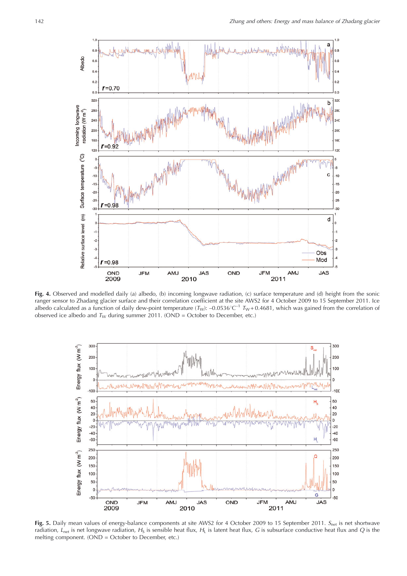

**Fig. 4.** Observed and modelled daily (a) albedo, (b) incoming longwave radiation, (c) surface temperature and (d) height from the sonic ranger sensor to Zhadang glacier surface and their correlation coefficient at the site AWS2 for 4 October 2009 to 15 September 2011. Ice albedo calculated as a function of daily dew-point temperature ( $T_W$ ): –0.0536°C<sup>-1</sup>  $T_W$ +0.4681, which was gained from the correlation of observed ice albedo and  $T_W$  during summer 2011. (OND = October to December, etc.)



Fig. 5. Daily mean values of energy-balance components at site AWS2 for 4 October 2009 to 15 September 2011. S<sub>net</sub> is net shortwave radiation,  $L<sub>net</sub>$  is net longwave radiation,  $H<sub>S</sub>$  is sensible heat flux,  $H<sub>L</sub>$  is latent heat flux, G is subsurface conductive heat flux and Q is the melting component. (OND = October to December, etc.)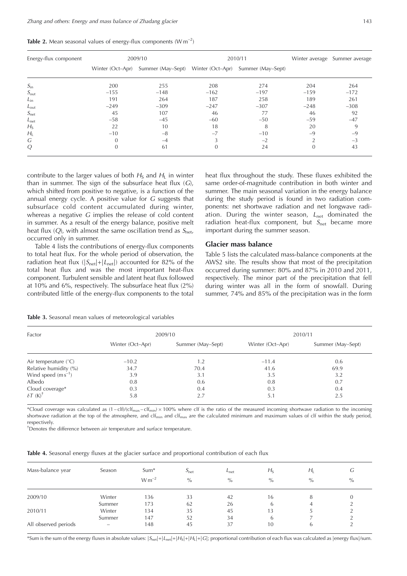|  |  |  | Table 2. Mean seasonal values of energy-flux components $(W m^{-2})$ |  |  |
|--|--|--|----------------------------------------------------------------------|--|--|
|  |  |  |                                                                      |  |  |

| Energy-flux component |          | 2009/10                            |          | 2010/11                            |                | Winter average Summer average |
|-----------------------|----------|------------------------------------|----------|------------------------------------|----------------|-------------------------------|
|                       |          | Winter (Oct-Apr) Summer (May-Sept) |          | Winter (Oct-Apr) Summer (May-Sept) |                |                               |
| $S_{\rm in}$          | 200      | 255                                | 208      | 274                                | 204            | 264                           |
| $S_{\text{out}}$      | $-155$   | $-148$                             | $-162$   | $-197$                             | $-159$         | $-172$                        |
| $L_{in}$              | 191      | 264                                | 187      | 258                                | 189            | 261                           |
| $L_{\text{out}}$      | $-249$   | $-309$                             | $-247$   | $-307$                             | $-248$         | $-308$                        |
| $S_{\text{net}}$      | 45       | 107                                | 46       | 77                                 | 46             | 92                            |
| $L_{\text{net}}$      | $-58$    | $-45$                              | $-60$    | $-50$                              | $-59$          | $-47$                         |
| $H_{\rm S}$           | 22       | 10                                 | 18       | 8                                  | 20             | 9                             |
| $H_{L}$               | $-10$    | $-8$                               | $-7$     | $-10$                              | $-9$           | $-9$                          |
| G                     | $\Omega$ | $-4$                               |          | $-2$                               | $\overline{2}$ | $-3$                          |
| Q                     | $\theta$ | 61                                 | $\Omega$ | 24                                 | $\overline{0}$ | 43                            |

contribute to the larger values of both  $H_S$  and  $H_L$  in winter than in summer. The sign of the subsurface heat flux  $(G)$ , which shifted from positive to negative, is a function of the annual energy cycle. A positive value for G suggests that subsurface cold content accumulated during winter, whereas a negative G implies the release of cold content in summer. As a result of the energy balance, positive melt heat flux  $(Q)$ , with almost the same oscillation trend as  $S_{\text{net}}$ , occurred only in summer.

Table 4 lists the contributions of energy-flux components to total heat flux. For the whole period of observation, the radiation heat flux ( $|S_{net}|+|L_{net}|$ ) accounted for 82% of the total heat flux and was the most important heat-flux component. Turbulent sensible and latent heat flux followed at 10% and 6%, respectively. The subsurface heat flux (2%) contributed little of the energy-flux components to the total heat flux throughout the study. These fluxes exhibited the same order-of-magnitude contribution in both winter and summer. The main seasonal variation in the energy balance during the study period is found in two radiation components: net shortwave radiation and net longwave radiation. During the winter season,  $L_{net}$  dominated the radiation heat-flux component, but  $S_{\text{net}}$  became more important during the summer season.

# **Glacier mass balance**

Table 5 lists the calculated mass-balance components at the AWS2 site. The results show that most of the precipitation occurred during summer: 80% and 87% in 2010 and 2011, respectively. The minor part of the precipitation that fell during winter was all in the form of snowfall. During summer, 74% and 85% of the precipitation was in the form

| Factor                        |                  | 2009/10           | 2010/11          |                   |  |  |
|-------------------------------|------------------|-------------------|------------------|-------------------|--|--|
|                               | Winter (Oct-Apr) | Summer (May-Sept) | Winter (Oct-Apr) | Summer (May-Sept) |  |  |
| Air temperature $(^{\circ}C)$ | $-10.2$          | 1.2               | $-11.4$          | 0.6               |  |  |
| Relative humidity (%)         | 34.7             | 70.4              | 41.6             | 69.9              |  |  |
| Wind speed $(m s^{-1})$       | 3.9              | 3.1               | 3.5              | 3.2               |  |  |
| Albedo                        | 0.8              | 0.6               | 0.8              | 0.7               |  |  |
| Cloud coverage*               | 0.3              | 0.4               | 0.3              | 0.4               |  |  |
| $\delta T$ (K) <sup>†</sup>   | 5.8              | 2.7               | 5.1              | 2.5               |  |  |

**Table 3.** Seasonal mean values of meteorological variables

\*Cloud coverage was calculated as  $(1 - cIf)/(cIf_{max} - cIf_{min}) \times 100\%$  where clf is the ratio of the measured incoming shortwave radiation to the incoming shortwave radiation at the top of the atmosphere, and clf<sub>min</sub> and clf<sub>max</sub> are the calculated minimum and maximum values of clf within the study period, respectively.

<sup>†</sup>Denotes the difference between air temperature and surface temperature.

| <b>Table 4.</b> Seasonal energy fluxes at the glacier surface and proportional contribution of each flux |  |  |  |  |  |  |
|----------------------------------------------------------------------------------------------------------|--|--|--|--|--|--|
|----------------------------------------------------------------------------------------------------------|--|--|--|--|--|--|

| Mass-balance year    | Season                         | Sum*<br>$W m^{-2}$ | $S_{\text{net}}$<br>$\%$ | $L_{\text{net}}$<br>$\%$ | $H_{\rm S}$<br>$\frac{0}{0}$ | $H_{\rm I}$<br>$\%$ | G<br>$\%$ |
|----------------------|--------------------------------|--------------------|--------------------------|--------------------------|------------------------------|---------------------|-----------|
| 2009/10              | Winter                         | 136                | 33                       | 42                       | 16                           | 8                   |           |
|                      | Summer                         | 173                | 62                       | 26                       | h                            | 4                   |           |
| 2010/11              | Winter                         | 134                | 35                       | 45                       | 13                           |                     |           |
|                      | Summer                         | 147                | 52                       | 34                       | 6                            |                     |           |
| All observed periods | $\qquad \qquad \longleftarrow$ | 148                | 45                       | 37                       | 10                           | b                   |           |

\*Sum is the sum of the energy fluxes in absolute values:  $|S_{\text{net}}| + |L_{\text{net}}| + |H_{\text{S}}| + |H_{\text{L}}| + |G|$ ; proportional contribution of each flux was calculated as |energy flux|/sum.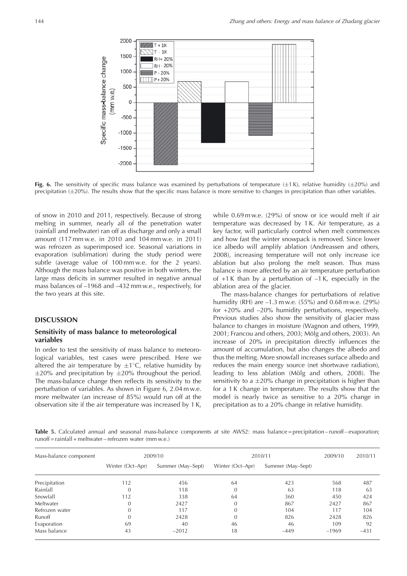

**Fig. 6.** The sensitivity of specific mass balance was examined by perturbations of temperature  $(\pm 1 \text{ K})$ , relative humidity  $(\pm 20\%)$  and precipitation ( $\pm 20$ %). The results show that the specific mass balance is more sensitive to changes in precipitation than other variables.

of snow in 2010 and 2011, respectively. Because of strong melting in summer, nearly all of the penetration water (rainfall and meltwater) ran off as discharge and only a small amount (117 mm w.e. in 2010 and 104 mm w.e. in 2011) was refrozen as superimposed ice. Seasonal variations in evaporation (sublimation) during the study period were subtle (average value of 100 mm w.e. for the 2 years). Although the mass balance was positive in both winters, the large mass deficits in summer resulted in negative annual mass balances of –1968 and –432 mm w.e., respectively, for the two years at this site.

### **DISCUSSION**

# **Sensitivity of mass balance to meteorological variables**

In order to test the sensitivity of mass balance to meteorological variables, test cases were prescribed. Here we altered the air temperature by  $\pm 1^{\circ}$ C, relative humidity by  $\pm$ 20% and precipitation by  $\pm$ 20% throughout the period. The mass-balance change then reflects its sensitivity to the perturbation of variables. As shown in Figure 6, 2.04 m w.e. more meltwater (an increase of 85%) would run off at the observation site if the air temperature was increased by 1 K,

while 0.69 m w.e. (29%) of snow or ice would melt if air temperature was decreased by 1 K. Air temperature, as a key factor, will particularly control when melt commences and how fast the winter snowpack is removed. Since lower ice albedo will amplify ablation (Andreassen and others, 2008), increasing temperature will not only increase ice ablation but also prolong the melt season. Thus mass balance is more affected by an air temperature perturbation of  $+1$  K than by a perturbation of  $-1$  K, especially in the ablation area of the glacier.

The mass-balance changes for perturbations of relative humidity (RH) are –1.3 m w.e. (55%) and 0.68 m w.e. (29%) for +20% and –20% humidity perturbations, respectively. Previous studies also show the sensitivity of glacier mass balance to changes in moisture (Wagnon and others, 1999, 2001; Francou and others, 2003; Mölg and others, 2003). An increase of 20% in precipitation directly influences the amount of accumulation, but also changes the albedo and thus the melting. More snowfall increases surface albedo and reduces the main energy source (net shortwave radiation), leading to less ablation (Mölg and others, 2008). The sensitivity to a  $\pm 20\%$  change in precipitation is higher than for a 1 K change in temperature. The results show that the model is nearly twice as sensitive to a 20% change in precipitation as to a 20% change in relative humidity.

**Table 5.** Calculated annual and seasonal mass-balance components at site AWS2: mass balance = precipitation – runoff – evaporation; runoff = rainfall + meltwater – refrozen water (mm w.e.)

| Mass-balance component |                  | 2009/10           | 2010/11          | 2009/10           | 2010/11 |        |
|------------------------|------------------|-------------------|------------------|-------------------|---------|--------|
|                        | Winter (Oct-Apr) | Summer (May-Sept) | Winter (Oct-Apr) | Summer (May-Sept) |         |        |
| Precipitation          | 112              | 456               | 64               | 423               | 568     | 487    |
| Rainfall               | $\mathbf{0}$     | 118               | $\Omega$         | 63                | 118     | 63     |
| Snowfall               | 112              | 338               | 64               | 360               | 450     | 424    |
| Meltwater              | $\overline{0}$   | 2427              |                  | 867               | 2427    | 867    |
| Refrozen water         | $\overline{0}$   | 117               | $\Omega$         | 104               | 117     | 104    |
| Runoff                 | $\overline{0}$   | 2428              | $\Omega$         | 826               | 2428    | 826    |
| Evaporation            | 69               | 40                | 46               | 46                | 109     | 92     |
| Mass balance           | 43               | $-2012$           | 18               | $-449$            | $-1969$ | $-431$ |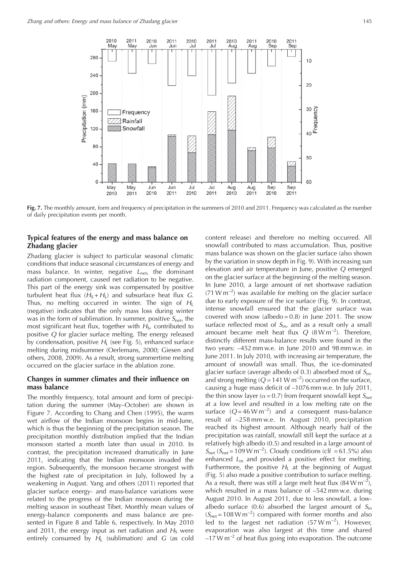

**Fig. 7.** The monthly amount, form and frequency of precipitation in the summers of 2010 and 2011. Frequency was calculated as the number of daily precipitation events per month.

# **Typical features of the energy and mass balance on Zhadang glacier**

Zhadang glacier is subject to particular seasonal climatic conditions that induce seasonal circumstances of energy and mass balance. In winter, negative  $L_{\text{net}}$ , the dominant radiation component, caused net radiation to be negative. This part of the energy sink was compensated by positive turbulent heat flux  $(H_S + H_I)$  and subsurface heat flux G. Thus, no melting occurred in winter. The sign of  $H_L$ (negative) indicates that the only mass loss during winter was in the form of sublimation. In summer, positive  $S_{\text{net}}$ , the most significant heat flux, together with  $H<sub>S</sub>$ , contributed to positive Q for glacier surface melting. The energy released by condensation, positive  $H<sub>L</sub>$  (see Fig. 5), enhanced surface melting during midsummer (Oerlemans, 2000; Giesen and others, 2008, 2009). As a result, strong summertime melting occurred on the glacier surface in the ablation zone.

### **Changes in summer climates and their influence on mass balance**

The monthly frequency, total amount and form of precipitation during the summer (May–October) are shown in Figure 7. According to Chang and Chen (1995), the warm wet airflow of the Indian monsoon begins in mid-June, which is thus the beginning of the precipitation season. The precipitation monthly distribution implied that the Indian monsoon started a month later than usual in 2010. In contrast, the precipitation increased dramatically in June 2011, indicating that the Indian monsoon invaded the region. Subsequently, the monsoon became strongest with the highest rate of precipitation in July, followed by a weakening in August. Yang and others (2011) reported that glacier surface energy- and mass-balance variations were related to the progress of the Indian monsoon during the melting season in southeast Tibet. Monthly mean values of energy-balance components and mass balance are presented in Figure 8 and Table 6, respectively. In May 2010 and 2011, the energy input as net radiation and  $H<sub>S</sub>$  were entirely consumed by  $H_L$  (sublimation) and  $G$  (as cold

content release) and therefore no melting occurred. All snowfall contributed to mass accumulation. Thus, positive mass balance was shown on the glacier surface (also shown by the variation in snow depth in Fig. 9). With increasing sun elevation and air temperature in June, positive Q emerged on the glacier surface at the beginning of the melting season. In June 2010, a large amount of net shortwave radiation  $(71 \text{ W m}^{-2})$  was available for melting on the glacier surface due to early exposure of the ice surface (Fig. 9). In contrast, intense snowfall ensured that the glacier surface was covered with snow (albedo =  $0.8$ ) in June 2011. The snow surface reflected most of  $S_{\text{in}}$ , and as a result only a small amount became melt heat flux  $Q$  (8 W m<sup>-2</sup>). Therefore, distinctly different mass-balance results were found in the two years: –452 mm w.e. in June 2010 and 98 mm w.e. in June 2011. In July 2010, with increasing air temperature, the amount of snowfall was small. Thus, the ice-dominated glacier surface (average albedo of 0.3) absorbed most of  $S<sub>in</sub>$ , and strong melting ( $Q = 141 \text{ W m}^{-2}$ ) occurred on the surface, causing a huge mass deficit of –1076 mm w.e. In July 2011, the thin snow layer ( $\alpha$  = 0.7) from frequent snowfall kept  $S_{\sf net}$ at a low level and resulted in a low melting rate on the surface  $(Q = 46 \text{ W m}^{-2})$  and a consequent mass-balance result of –258 mm w.e. In August 2010, precipitation reached its highest amount. Although nearly half of the precipitation was rainfall, snowfall still kept the surface at a relatively high albedo (0.5) and resulted in a large amount of  $S_{\text{net}}$  ( $S_{\text{net}}$  = 109 W m<sup>-2</sup>). Cloudy conditions (clf = 61.5%) also enhanced  $L_{\text{in}}$  and provided a positive effect for melting. Furthermore, the positive  $H<sub>L</sub>$  at the beginning of August (Fig. 5) also made a positive contribution to surface melting. As a result, there was still a large melt heat flux  $(84 \,\mathrm{W/m^{-2}})$ , which resulted in a mass balance of –542 mm w.e. during August 2010. In August 2011, due to less snowfall, a lowalbedo surface (0.6) absorbed the largest amount of  $S_{\text{in}}$  $(S<sub>net</sub> = 108 W m<sup>-2</sup>)$  compared with former months and also led to the largest net radiation  $(57 W m^{-2})$ . However, evaporation was also largest at this time and shared  $-17$  W m<sup>-2</sup> of heat flux going into evaporation. The outcome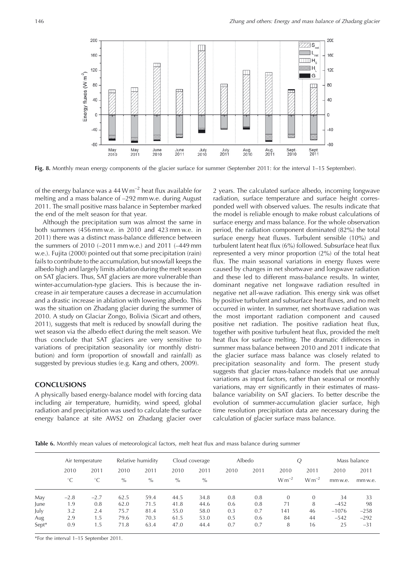

**Fig. 8.** Monthly mean energy components of the glacier surface for summer (September 2011: for the interval 1–15 September).

of the energy balance was a 44 W  $m^{-2}$  heat flux available for melting and a mass balance of –292 mm w.e. during August 2011. The small positive mass balance in September marked the end of the melt season for that year.

Although the precipitation sum was almost the same in both summers (456 mm w.e. in 2010 and 423 mm w.e. in 2011) there was a distinct mass-balance difference between the summers of 2010 (–2011 mm w.e.) and 2011 (–449 mm w.e.). Fujita (2000) pointed out that some precipitation (rain) fails to contribute to the accumulation, but snowfall keeps the albedo high and largely limits ablation during the melt season on SAT glaciers. Thus, SAT glaciers are more vulnerable than winter-accumulation-type glaciers. This is because the increase in air temperature causes a decrease in accumulation and a drastic increase in ablation with lowering albedo. This was the situation on Zhadang glacier during the summer of 2010. A study on Glaciar Zongo, Bolivia (Sicart and others, 2011), suggests that melt is reduced by snowfall during the wet season via the albedo effect during the melt season. We thus conclude that SAT glaciers are very sensitive to variations of precipitation seasonality (or monthly distribution) and form (proportion of snowfall and rainfall) as suggested by previous studies (e.g. Kang and others, 2009).

# **CONCLUSIONS**

A physically based energy-balance model with forcing data including air temperature, humidity, wind speed, global radiation and precipitation was used to calculate the surface energy balance at site AWS2 on Zhadang glacier over 2 years. The calculated surface albedo, incoming longwave radiation, surface temperature and surface height corresponded well with observed values. The results indicate that the model is reliable enough to make robust calculations of surface energy and mass balance. For the whole observation period, the radiation component dominated (82%) the total surface energy heat fluxes. Turbulent sensible (10%) and turbulent latent heat flux (6%) followed. Subsurface heat flux represented a very minor proportion (2%) of the total heat flux. The main seasonal variations in energy fluxes were caused by changes in net shortwave and longwave radiation and these led to different mass-balance results. In winter, dominant negative net longwave radiation resulted in negative net all-wave radiation. This energy sink was offset by positive turbulent and subsurface heat fluxes, and no melt occurred in winter. In summer, net shortwave radiation was the most important radiation component and caused positive net radiation. The positive radiation heat flux, together with positive turbulent heat flux, provided the melt heat flux for surface melting. The dramatic differences in summer mass balance between 2010 and 2011 indicate that the glacier surface mass balance was closely related to precipitation seasonality and form. The present study suggests that glacier mass-balance models that use annual variations as input factors, rather than seasonal or monthly variations, may err significantly in their estimates of massbalance variability on SAT glaciers. To better describe the evolution of summer-accumulation glacier surface, high time resolution precipitation data are necessary during the calculation of glacier surface mass balance.

**Table 6.** Monthly mean values of meteorological factors, melt heat flux and mass balance during summer

|       |             | Air temperature |      | Relative humidity |      | Cloud coverage |      | Albedo |            |            |         | Mass balance |
|-------|-------------|-----------------|------|-------------------|------|----------------|------|--------|------------|------------|---------|--------------|
|       | 2010        | 2011            | 2010 | 2011              | 2010 | 2011           | 2010 | 2011   | 2010       | 2011       | 2010    | 2011         |
|       | $^{\circ}C$ | $^{\circ}C$     | $\%$ | $\%$              | $\%$ | $\%$           |      |        | $W m^{-2}$ | $W m^{-2}$ | mm w.e. | mm w.e.      |
| May   | $-2.8$      | $-2.7$          | 62.5 | 59.4              | 44.5 | 34.8           | 0.8  | 0.8    | $\Omega$   | $\theta$   | 34      | 33           |
| June  | 1.9         | 0.8             | 62.0 | 71.5              | 41.8 | 44.6           | 0.6  | 0.8    | 71         | 8          | $-452$  | 98           |
| July  | 3.2         | 2.4             | 75.7 | 81.4              | 55.0 | 58.0           | 0.3  | 0.7    | 141        | 46         | $-1076$ | $-258$       |
| Aug   | 2.9         | 1.5             | 79.6 | 70.3              | 61.5 | 53.0           | 0.5  | 0.6    | 84         | 44         | $-542$  | $-292$       |
| Sept* | 0.9         | 1.5             | 71.8 | 63.4              | 47.0 | 44.4           | 0.7  | 0.7    | 8          | 16         | 25      | $-31$        |

\*For the interval 1–15 September 2011.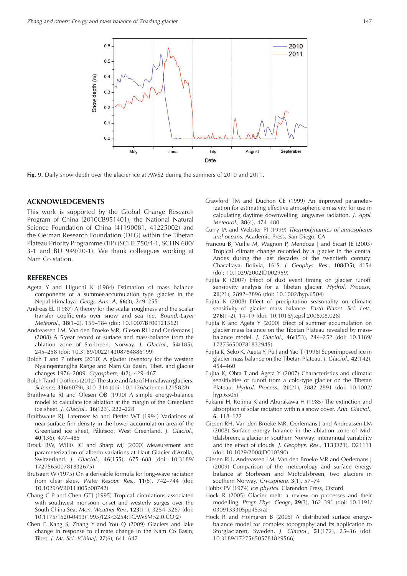

**Fig. 9.** Daily snow depth over the glacier ice at AWS2 during the summers of 2010 and 2011.

#### **ACKNOWLEDGEMENTS**

This work is supported by the Global Change Research Program of China (2010CB951401), the National Natural Science Foundation of China (41190081, 41225002) and the German Research Foundation (DFG) within the Tibetan Plateau Priority Programme (TiP) (SCHE 750/4-1, SCHN 680/ 3-1 and BU 949/20-1). We thank colleagues working at Nam Co station.

#### **REFERENCES**

- Ageta Y and Higuchi K (1984) Estimation of mass balance components of a summer-accumulation type glacier in the Nepal Himalaya. Geogr. Ann. A, **66**(3), 249–255
- Andreas EL (1987) A theory for the scalar roughness and the scalar transfer coefficients over snow and sea ice. Bound.-Layer Meteorol., **38**(1–2), 159–184 (doi: 10.1007/BF00121562)
- Andreassen LM, Van den Broeke MR, Giesen RH and Oerlemans J (2008) A 5 year record of surface and mass-balance from the ablation zone of Storbreen, Norway. J. Glaciol., **54**(185), 245–258 (doi: 10.3189/002214308784886199)
- Bolch T and 7 others (2010) A glacier inventory for the western Nyainqentanglha Range and Nam Co Basin, Tibet, and glacier changes 1976–2009. Cryosphere, **4**(2), 429–467
- Bolch Tand 10 others (2012) The state and fate of Himalayan glaciers. Science, **336**(6079), 310–314 (doi: 10.1126/science.1215828)
- Braithwaite RJ and Olesen OB (1990) A simple energy-balance model to calculate ice ablation at the margin of the Greenland ice sheet. J. Glaciol., **36**(123), 222–228
- Braithwaite RJ, Laternser M and Pfeffer WT (1994) Variations of near-surface firn density in the lower accumulation area of the Greenland ice sheet, Pâkitsoq, West Greenland. J. Glaciol., **40**(136), 477–485
- Brock BW, Willis IC and Sharp MJ (2000) Measurement and parameterization of albedo variations at Haut Glacier d'Arolla, Switzerland. J. Glaciol., **46**(155), 675–688 (doi: 10.3189/ 172756500781832675)
- Brutsaert W (1975) On a derivable formula for long-wave radiation from clear skies. Water Resour. Res., **11**(5), 742–744 (doi: 10.1029/WR011i005p00742)
- Chang C-P and Chen GTJ (1995) Tropical circulations associated with southwest monsoon onset and westerly surges over the South China Sea. Mon. Weather Rev., **123**(11), 3254–3267 (doi: 10.1175/1520-0493(1995)123<3254:TCAWSM>2.0.CO;2)
- Chen F, Kang S, Zhang Y and You Q (2009) Glaciers and lake change in response to climate change in the Nam Co Basin, Tibet. J. Mt. Sci. [China], **27**(6), 641–647
- Crawford TM and Duchon CE (1999) An improved parameterization for estimating effective atmospheric emissivity for use in calculating daytime downwelling longwave radiation. J. Appl. Meteorol., **38**(4), 474–480
- Curry JA and Webster PJ (1999) Thermodynamics of atmospheres and oceans. Academic Press, San Diego, CA
- Francou B, Vuille M, Wagnon P, Mendoza J and Sicart JE (2003) Tropical climate change recorded by a glacier in the central Andes during the last decades of the twentieth century: Chacaltaya, Bolivia, 168S. J. Geophys. Res., **108**(D5), 4154 (doi: 10.1029/2002JD002959)
- Fujita K (2007) Effect of dust event timing on glacier runoff: sensitivity analysis for a Tibetan glacier. Hydrol. Process., **21**(21), 2892–2896 (doi: 10.1002/hyp.6504)
- Fujita K (2008) Effect of precipitation seasonality on climatic sensitivity of glacier mass balance. Earth Planet. Sci. Lett., **276**(1–2), 14–19 (doi: 10.1016/j.epsl.2008.08.028)
- Fujita K and Ageta Y (2000) Effect of summer accumulation on glacier mass balance on the Tibetan Plateau revealed by massbalance model. J. Glaciol., **46**(153), 244–252 (doi: 10.3189/ 172756500781832945)
- Fujita K, Seko K, Ageta Y, Pu J and Yao T (1996) Superimposed ice in glacier mass balance on the Tibetan Plateau. J. Glaciol., **42**(142), 454–460
- Fujita K, Ohta T and Ageta Y (2007) Characteristics and climatic sensitivities of runoff from a cold-type glacier on the Tibetan Plateau. Hydrol. Process., **21**(21), 2882–2891 (doi: 10.1002/ hyp.6505)
- Fukami H, Kojima K and Aburakawa H (1985) The extinction and absorption of solar radiation within a snow cover. Ann. Glaciol., **6**, 118–122
- Giesen RH, Van den Broeke MR, Oerlemans J and Andreassen LM (2008) Surface energy balance in the ablation zone of Midtdalsbreen, a glacier in southern Norway: interannual variability and the effect of clouds. J. Geophys. Res., **113**(D21), D21111 (doi: 10.1029/2008JD010390)
- Giesen RH, Andreassen LM, Van den Broeke MR and Oerlemans J (2009) Comparison of the meteorology and surface energy balance at Storbreen and Midtdalsbreen, two glaciers in southern Norway. Cryosphere, **3**(1), 57–74
- Hobbs PV (1974) Ice physics. Clarendon Press, Oxford
- Hock R (2005) Glacier melt: a review on processes and their modelling. Progr. Phys. Geogr., **29**(3), 362–391 (doi: 10.1191/ 0309133305pp453ra)
- Hock R and Holmgren B (2005) A distributed surface energybalance model for complex topography and its application to Storglacia¨ren, Sweden. J. Glaciol., **51**(172), 25–36 (doi: 10.3189/172756505781829566)